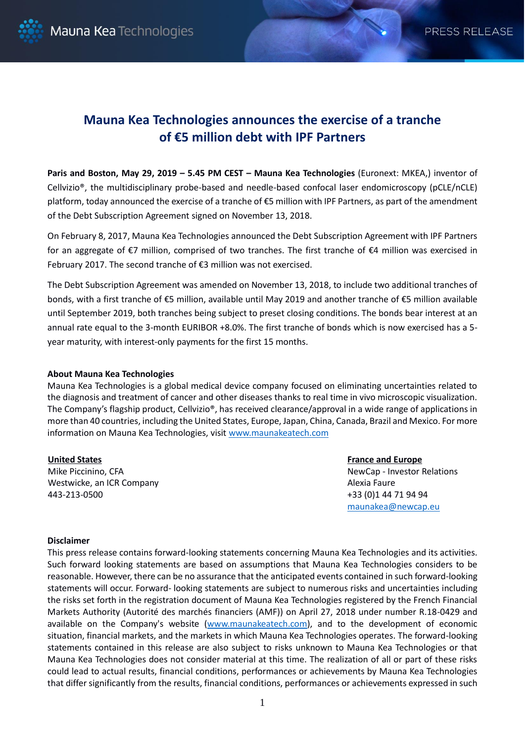

## **Mauna Kea Technologies announces the exercise of a tranche of €5 million debt with IPF Partners**

**Paris and Boston, May 29, 2019 – 5.45 PM CEST – Mauna Kea Technologies** (Euronext: MKEA,) inventor of Cellvizio®, the multidisciplinary probe-based and needle-based confocal laser endomicroscopy (pCLE/nCLE) platform, today announced the exercise of a tranche of €5 million with IPF Partners, as part of the amendment of the Debt Subscription Agreement signed on November 13, 2018.

On February 8, 2017, Mauna Kea Technologies announced the Debt Subscription Agreement with IPF Partners for an aggregate of €7 million, comprised of two tranches. The first tranche of €4 million was exercised in February 2017. The second tranche of €3 million was not exercised.

The Debt Subscription Agreement was amended on November 13, 2018, to include two additional tranches of bonds, with a first tranche of €5 million, available until May 2019 and another tranche of €5 million available until September 2019, both tranches being subject to preset closing conditions. The bonds bear interest at an annual rate equal to the 3-month EURIBOR +8.0%. The first tranche of bonds which is now exercised has a 5 year maturity, with interest-only payments for the first 15 months.

## **About Mauna Kea Technologies**

Mauna Kea Technologies is a global medical device company focused on eliminating uncertainties related to the diagnosis and treatment of cancer and other diseases thanks to real time in vivo microscopic visualization. The Company's flagship product, Cellvizio®, has received clearance/approval in a wide range of applications in more than 40 countries, including the United States, Europe, Japan, China, Canada, Brazil and Mexico. For more information on Mauna Kea Technologies, visit [www.maunakeatech.com](http://www.maunakeatech.fr/)

## **United States**

Mike Piccinino, CFA Westwicke, an ICR Company 443-213-0500

**France and Europe** NewCap - Investor Relations Alexia Faure +33 (0)1 44 71 94 94 [maunakea@newcap.eu](mailto:maunakea@newcap.eu)

## **Disclaimer**

This press release contains forward-looking statements concerning Mauna Kea Technologies and its activities. Such forward looking statements are based on assumptions that Mauna Kea Technologies considers to be reasonable. However, there can be no assurance that the anticipated events contained in such forward-looking statements will occur. Forward- looking statements are subject to numerous risks and uncertainties including the risks set forth in the registration document of Mauna Kea Technologies registered by the French Financial Markets Authority (Autorité des marchés financiers (AMF)) on April 27, 2018 under number R.18-0429 and available on the Company's website [\(www.maunakeatech.com\)](http://www.maunakeatech.fr/), and to the development of economic situation, financial markets, and the markets in which Mauna Kea Technologies operates. The forward-looking statements contained in this release are also subject to risks unknown to Mauna Kea Technologies or that Mauna Kea Technologies does not consider material at this time. The realization of all or part of these risks could lead to actual results, financial conditions, performances or achievements by Mauna Kea Technologies that differ significantly from the results, financial conditions, performances or achievements expressed in such